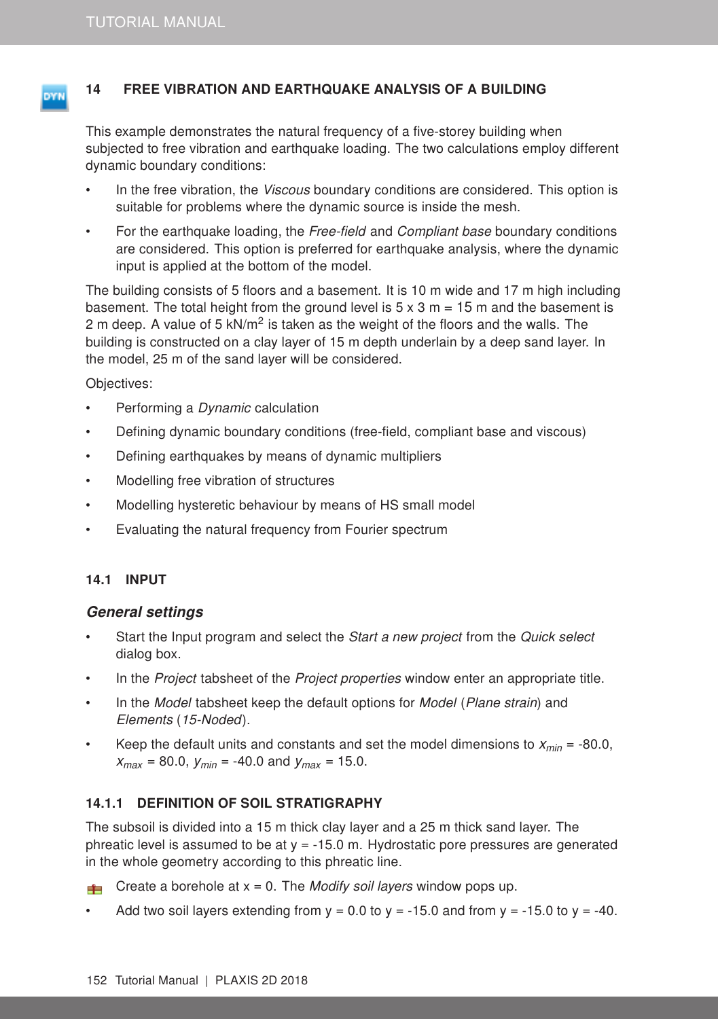### <span id="page-0-0"></span>14 FREE VIBRATION AND EARTHQUAKE ANALYSIS OF A BUILDING

This example demonstrates the natural frequency of a five-storey building when subjected to free vibration and earthquake loading. The two calculations employ different dynamic boundary conditions:

- In the free vibration, the Viscous boundary conditions are considered. This option is suitable for problems where the dynamic source is inside the mesh.
- For the earthquake loading, the Free-field and Compliant base boundary conditions are considered. This option is preferred for earthquake analysis, where the dynamic input is applied at the bottom of the model.

The building consists of 5 floors and a basement. It is 10 m wide and 17 m high including basement. The total height from the ground level is  $5 \times 3$  m = 15 m and the basement is 2 m deep. A value of 5 kN/m<sup>2</sup> is taken as the weight of the floors and the walls. The building is constructed on a clay layer of 15 m depth underlain by a deep sand layer. In the model, 25 m of the sand layer will be considered.

Objectives:

- Performing a *Dynamic* calculation
- Defining dynamic boundary conditions (free-field, compliant base and viscous)
- Defining earthquakes by means of dynamic multipliers
- Modelling free vibration of structures
- Modelling hysteretic behaviour by means of HS small model
- Evaluating the natural frequency from Fourier spectrum

### 14.1 INPUT

#### General settings

- Start the Input program and select the Start a new project from the Quick select dialog box.
- In the *Project* tabsheet of the *Project properties* window enter an appropriate title.
- In the Model tabsheet keep the default options for Model (Plane strain) and Elements (15-Noded).
- Keep the default units and constants and set the model dimensions to  $x_{min} = -80.0$ ,  $x_{max}$  = 80.0,  $y_{min}$  = -40.0 and  $y_{max}$  = 15.0.

### 14.1.1 DEFINITION OF SOIL STRATIGRAPHY

The subsoil is divided into a 15 m thick clay layer and a 25 m thick sand layer. The phreatic level is assumed to be at  $y = -15.0$  m. Hydrostatic pore pressures are generated in the whole geometry according to this phreatic line.

- For Create a borehole at  $x = 0$ . The *Modify soil layers* window pops up.
- Add two soil layers extending from  $y = 0.0$  to  $y = -15.0$  and from  $y = -15.0$  to  $y = -40$ .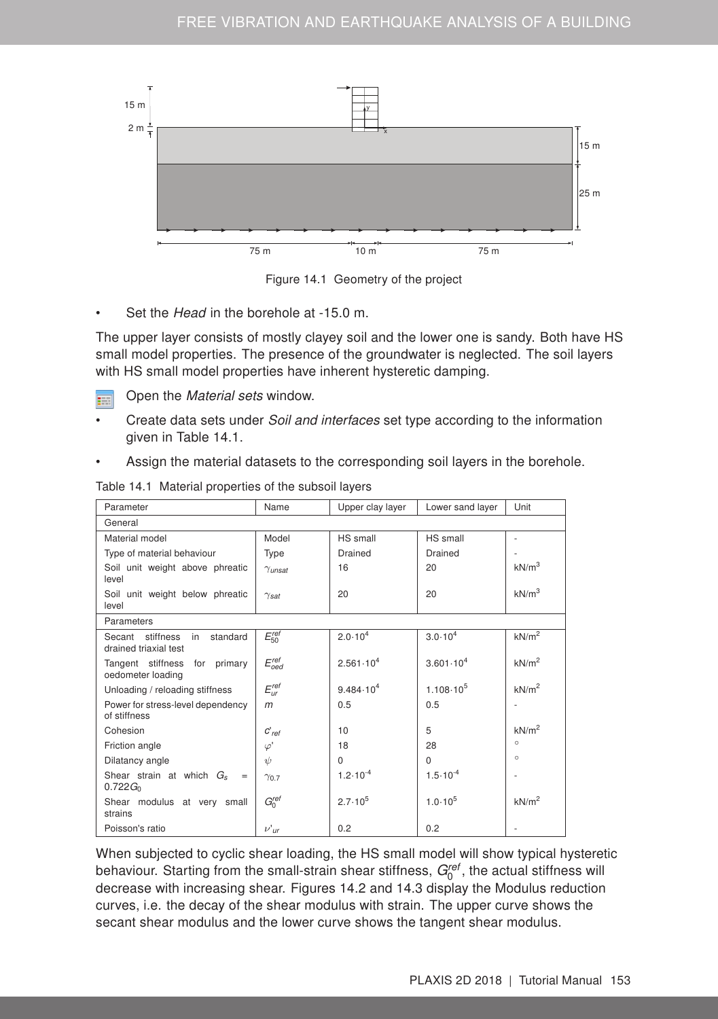



Set the *Head* in the borehole at -15.0 m.

The upper layer consists of mostly clayey soil and the lower one is sandy. Both have HS small model properties. The presence of the groundwater is neglected. The soil layers with HS small model properties have inherent hysteretic damping.

Open the Material sets window. E.

- Create data sets under Soil and interfaces set type according to the information given in Table [14.1.](#page-1-0)
- Assign the material datasets to the corresponding soil layers in the borehole.

| Parameter                                                   | Name                    | Upper clay layer     | Lower sand layer     | Unit              |  |
|-------------------------------------------------------------|-------------------------|----------------------|----------------------|-------------------|--|
| General                                                     |                         |                      |                      |                   |  |
| Material model                                              | Model                   | HS small             | HS small             | ٠                 |  |
| Type of material behaviour                                  | Type                    | Drained              | Drained              |                   |  |
| Soil unit weight above phreatic<br>level                    | $\gamma$ unsat          | 16                   | 20                   | kN/m <sup>3</sup> |  |
| Soil unit weight below phreatic<br>level                    | $\gamma_{\textit{sat}}$ | 20                   | 20                   | kN/m <sup>3</sup> |  |
| Parameters                                                  |                         |                      |                      |                   |  |
| standard<br>Secant stiffness<br>in<br>drained triaxial test | $E_{50}^{ref}$          | $2.0 \cdot 10^{4}$   | $3.0 \cdot 10^{4}$   | kN/m <sup>2</sup> |  |
| Tangent stiffness for primary<br>oedometer loading          | $E_{oed}^{ref}$         | $2.561 \cdot 10^{4}$ | $3.601 \cdot 10^{4}$ | kN/m <sup>2</sup> |  |
| Unloading / reloading stiffness                             | $E_{ur}^{ref}$          | $9.484 \cdot 10^{4}$ | $1.108 \cdot 10^5$   | kN/m <sup>2</sup> |  |
| Power for stress-level dependency<br>of stiffness           | $m$                     | 0.5                  | 0.5                  |                   |  |
| Cohesion                                                    | $C'$ ref                | 10                   | 5                    | kN/m <sup>2</sup> |  |
| Friction angle                                              | $\varphi'$              | 18                   | 28                   | $\circ$           |  |
| Dilatancy angle                                             | $\psi$                  | $\Omega$             | $\Omega$             | $\circ$           |  |
| Shear strain at which $G_s$<br>$=$<br>$0.722G_{0}$          | $\gamma_{0.7}$          | $1.2 \cdot 10^{-4}$  | $1.5 \cdot 10^{-4}$  |                   |  |
| Shear modulus at very small<br>strains                      | $G_0^{ref}$             | $2.7 \cdot 10^{5}$   | $1.0 \cdot 10^{5}$   | kN/m <sup>2</sup> |  |
| Poisson's ratio                                             | $\nu'$ ur               | 0.2                  | 0.2                  |                   |  |

<span id="page-1-0"></span>Table 14.1 Material properties of the subsoil layers

When subjected to cyclic shear loading, the HS small model will show typical hysteretic behaviour. Starting from the small-strain shear stiffness,  $G_0^{\text{ref}}$ , the actual stiffness will decrease with increasing shear. Figures [14.2](#page-2-0) and [14.3](#page-2-1) display the Modulus reduction curves, i.e. the decay of the shear modulus with strain. The upper curve shows the secant shear modulus and the lower curve shows the tangent shear modulus.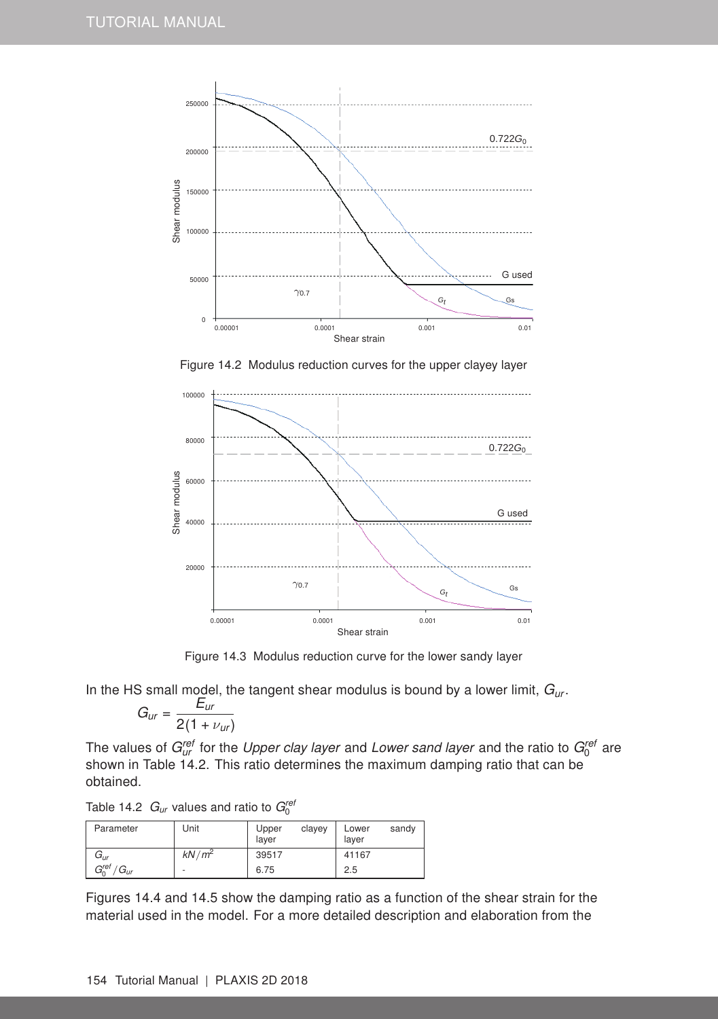

<span id="page-2-0"></span>Figure 14.2 Modulus reduction curves for the upper clayey layer



<span id="page-2-1"></span>Figure 14.3 Modulus reduction curve for the lower sandy layer

In the HS small model, the tangent shear modulus is bound by a lower limit, *Gur* .

$$
G_{ur}=\frac{E_{ur}}{2(1+\nu_{ur})}
$$

The values of  $G_{ur}^{ref}$  for the *Upper clay layer* and Lower sand layer and the ratio to  $G_0^{ref}$  are shown in Table [14.2.](#page-2-2) This ratio determines the maximum damping ratio that can be obtained.

<span id="page-2-2"></span>Table 14.2  $G_{\textit{ur}}$  values and ratio to  $G_0^{\textit{rel}}$ 

| Parameter                                | Unit     | clayey<br>Upper<br>layer | sandy<br>Lower<br>layer |
|------------------------------------------|----------|--------------------------|-------------------------|
| Gur                                      | $kN/m^2$ | 39517                    | 41167                   |
| $G_0^{ref}$<br>$\sim$<br>$G_{\text{Uf}}$ | ٠        | 6.75                     | 2.5                     |

Figures [14.4](#page-3-0) and [14.5](#page-3-1) show the damping ratio as a function of the shear strain for the material used in the model. For a more detailed description and elaboration from the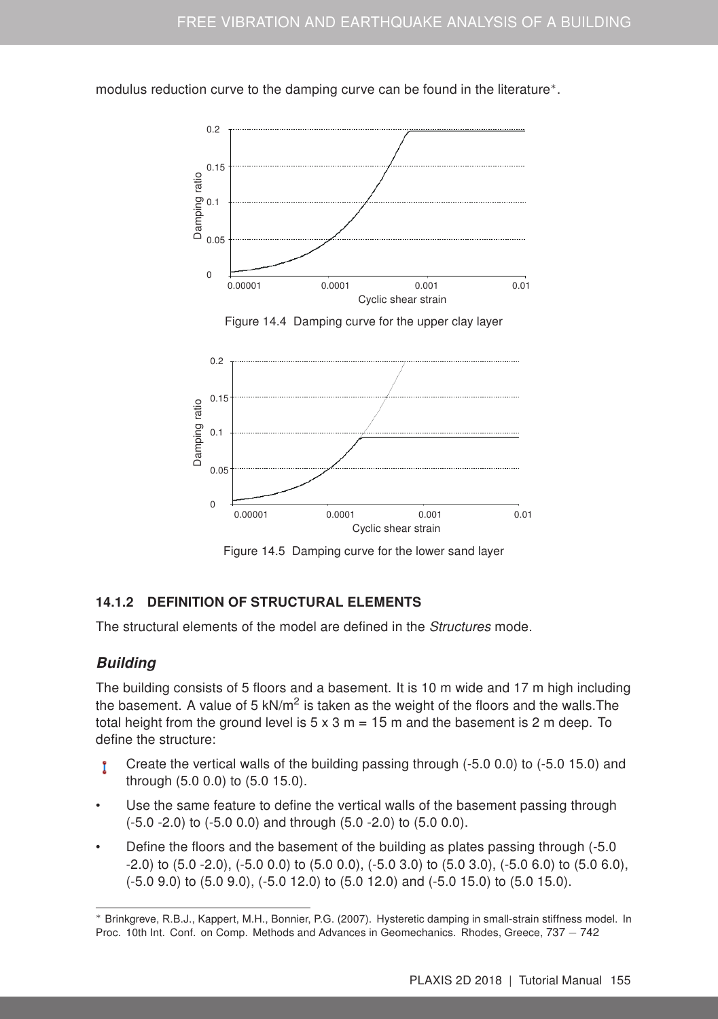modulus reduction curve to the damping curve can be found in the literature<sup>\*</sup>.

![](_page_3_Figure_2.jpeg)

<span id="page-3-0"></span>![](_page_3_Figure_3.jpeg)

![](_page_3_Figure_4.jpeg)

<span id="page-3-1"></span>Figure 14.5 Damping curve for the lower sand layer

## 14.1.2 DEFINITION OF STRUCTURAL ELEMENTS

The structural elements of the model are defined in the Structures mode.

## **Building**

The building consists of 5 floors and a basement. It is 10 m wide and 17 m high including the basement. A value of 5 kN/m<sup>2</sup> is taken as the weight of the floors and the walls. The total height from the ground level is  $5 \times 3$  m = 15 m and the basement is 2 m deep. To define the structure:

- Create the vertical walls of the building passing through (-5.0 0.0) to (-5.0 15.0) and Ť through (5.0 0.0) to (5.0 15.0).
- Use the same feature to define the vertical walls of the basement passing through (-5.0 -2.0) to (-5.0 0.0) and through (5.0 -2.0) to (5.0 0.0).
- Define the floors and the basement of the building as plates passing through (-5.0  $-2.0$ ) to  $(5.0 - 2.0)$ ,  $(-5.0 \ 0.0)$  to  $(5.0 \ 0.0)$ ,  $(-5.0 \ 3.0)$  to  $(5.0 \ 3.0)$ ,  $(-5.0 \ 6.0)$  to  $(5.0 \ 6.0)$ , (-5.0 9.0) to (5.0 9.0), (-5.0 12.0) to (5.0 12.0) and (-5.0 15.0) to (5.0 15.0).

<span id="page-3-2"></span><sup>∗</sup> Brinkgreve, R.B.J., Kappert, M.H., Bonnier, P.G. (2007). Hysteretic damping in small-strain stiffness model. In Proc. 10th Int. Conf. on Comp. Methods and Advances in Geomechanics. Rhodes, Greece, 737 − 742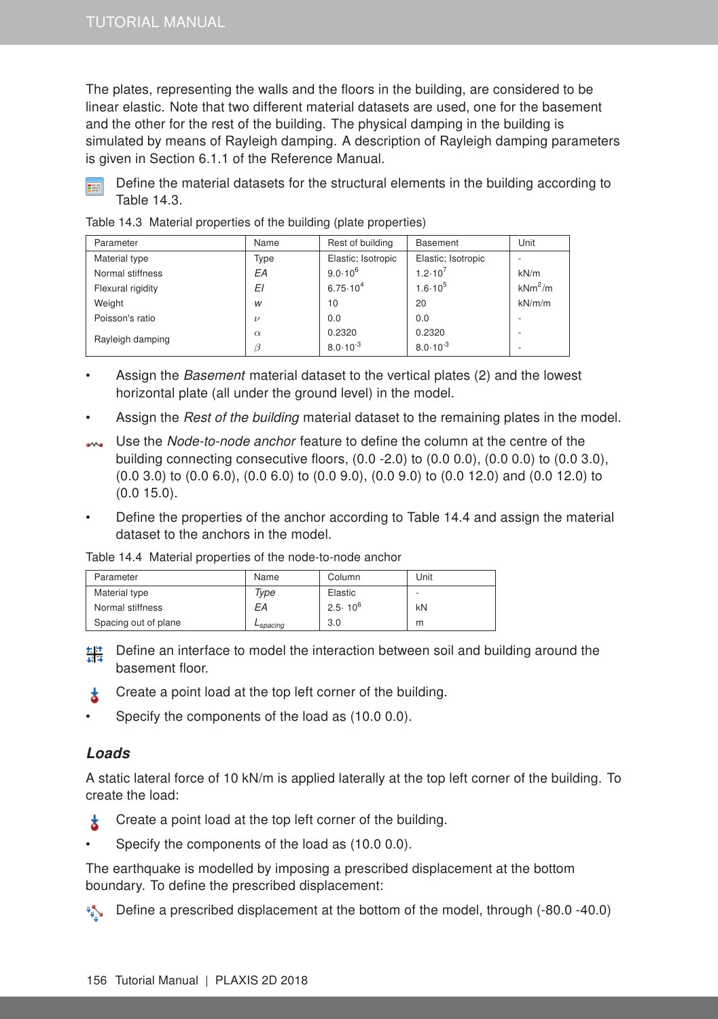The plates, representing the walls and the floors in the building, are considered to be linear elastic. Note that two different material datasets are used, one for the basement and the other for the rest of the building. The physical damping in the building is simulated by means of Rayleigh damping. A description of Rayleigh damping parameters is given in Section [6.1.1](#page--1-0) of the [Reference Manual.](#page-0-0)

![](_page_4_Picture_2.jpeg)

<span id="page-4-0"></span>Define the material datasets for the structural elements in the building according to Table [14.3.](#page-4-0)

Table 14.3 Material properties of the building (plate properties)

| Parameter         | Name     | Rest of building    | <b>Basement</b>     | Unit      |
|-------------------|----------|---------------------|---------------------|-----------|
| Material type     | Type     | Elastic; Isotropic  | Elastic; Isotropic  |           |
| Normal stiffness  | EA       | $9.0.10^{6}$        | $1.2 \cdot 10^{7}$  | kN/m      |
| Flexural rigidity | ΕI       | $6.75 \cdot 10^{4}$ | $1.6 \cdot 10^{5}$  | $kNm^2/m$ |
| Weight            | W        | 10                  | 20                  | kN/m/m    |
| Poisson's ratio   | $\nu$    | 0.0                 | 0.0                 |           |
| Rayleigh damping  | $\alpha$ | 0.2320              | 0.2320              |           |
|                   | B        | $8.0 \cdot 10^{-3}$ | $8.0 \cdot 10^{-3}$ |           |

- Assign the *Basement* material dataset to the vertical plates (2) and the lowest horizontal plate (all under the ground level) in the model.
- Assign the Rest of the building material dataset to the remaining plates in the model.
- Use the Node-to-node anchor feature to define the column at the centre of the building connecting consecutive floors, (0.0 -2.0) to (0.0 0.0), (0.0 0.0) to (0.0 3.0), (0.0 3.0) to (0.0 6.0), (0.0 6.0) to (0.0 9.0), (0.0 9.0) to (0.0 12.0) and (0.0 12.0) to (0.0 15.0).
- Define the properties of the anchor according to Table [14.4](#page-4-1) and assign the material dataset to the anchors in the model.

<span id="page-4-1"></span>Table 14.4 Material properties of the node-to-node anchor

| Parameter            | Name                 | Column             | Unit |
|----------------------|----------------------|--------------------|------|
| Material type        | Type                 | Elastic            |      |
| Normal stiffness     | EА                   | $2.5 \cdot 10^{6}$ | kN   |
| Spacing out of plane | L <sub>spacing</sub> | 3.0                | m    |

- $\frac{t_1+t_2}{t_2+t_3}$  Define an interface to model the interaction between soil and building around the basement floor.
- Create a point load at the top left corner of the building. ★.
- Specify the components of the load as (10.0 0.0).

### Loads

A static lateral force of 10 kN/m is applied laterally at the top left corner of the building. To create the load:

- Create a point load at the top left corner of the building. ż
- Specify the components of the load as (10.0 0.0).

The earthquake is modelled by imposing a prescribed displacement at the bottom boundary. To define the prescribed displacement:

 $\sqrt[n]{\ }$  Define a prescribed displacement at the bottom of the model, through (-80.0 -40.0)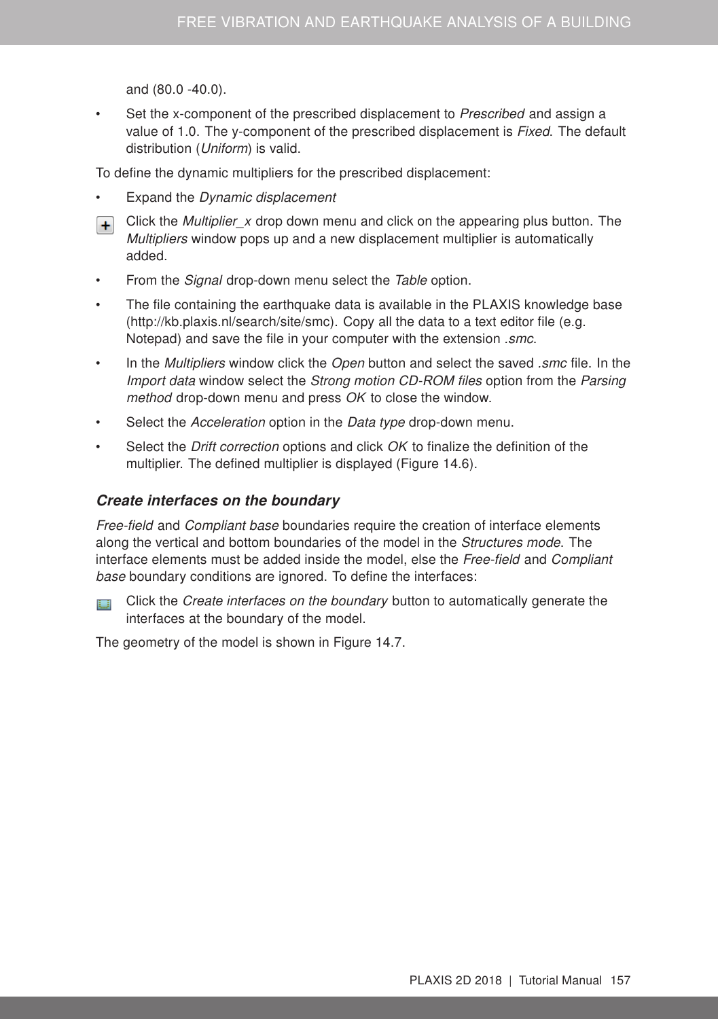and (80.0 -40.0).

Set the x-component of the prescribed displacement to Prescribed and assign a value of 1.0. The y-component of the prescribed displacement is Fixed. The default distribution (Uniform) is valid.

To define the dynamic multipliers for the prescribed displacement:

- Expand the Dynamic displacement
- F Click the *Multiplier\_x* drop down menu and click on the appearing plus button. The Multipliers window pops up and a new displacement multiplier is automatically added.
- From the Signal drop-down menu select the Table option.
- The file containing the earthquake data is available in the PLAXIS knowledge base (http://kb.plaxis.nl/search/site/smc). Copy all the data to a text editor file (e.g. Notepad) and save the file in your computer with the extension .smc.
- In the *Multipliers* window click the *Open* button and select the saved *smc* file. In the Import data window select the Strong motion CD-ROM files option from the Parsing method drop-down menu and press OK to close the window.
- Select the Acceleration option in the Data type drop-down menu.
- Select the *Drift correction* options and click *OK* to finalize the definition of the multiplier. The defined multiplier is displayed (Figure [14.6\)](#page-6-0).

#### Create interfaces on the boundary

Free-field and Compliant base boundaries require the creation of interface elements along the vertical and bottom boundaries of the model in the Structures mode. The interface elements must be added inside the model, else the Free-field and Compliant base boundary conditions are ignored. To define the interfaces:

Click the Create interfaces on the boundary button to automatically generate the E., E interfaces at the boundary of the model.

The geometry of the model is shown in Figure [14.7.](#page-6-1)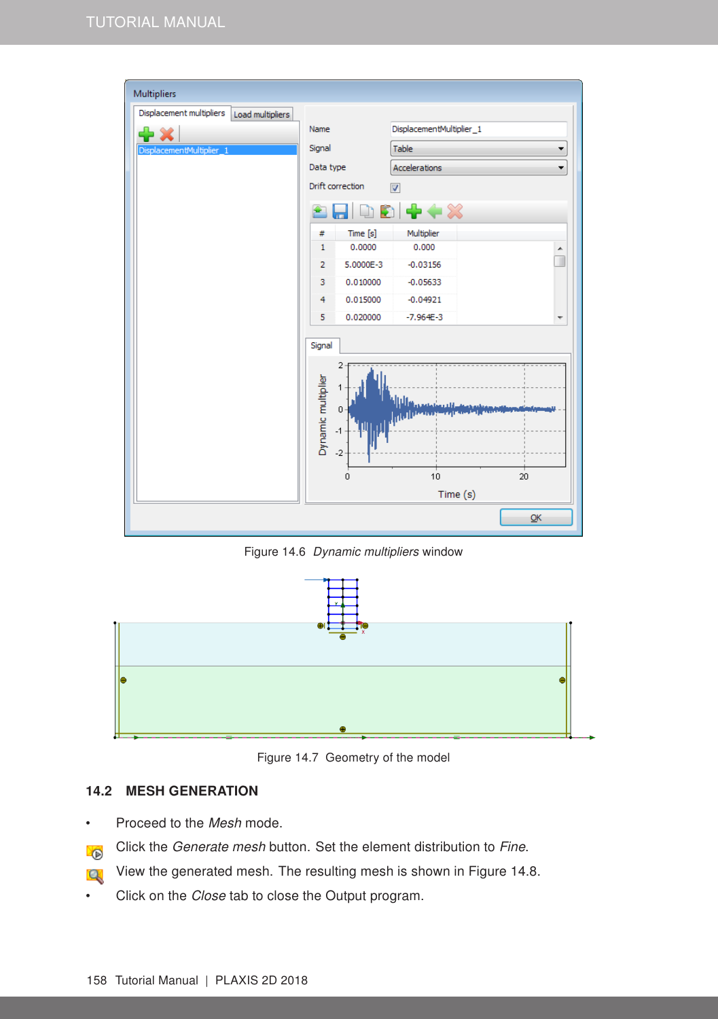![](_page_6_Figure_1.jpeg)

<span id="page-6-0"></span>Figure 14.6 Dynamic multipliers window

![](_page_6_Figure_3.jpeg)

<span id="page-6-1"></span>Figure 14.7 Geometry of the model

### 14.2 MESH GENERATION

- Proceed to the Mesh mode.
- Click the Generate mesh button. Set the element distribution to Fine. **D**
- View the generated mesh. The resulting mesh is shown in Figure [14.8.](#page-7-0)  $\mathbf{Q}$
- Click on the Close tab to close the Output program.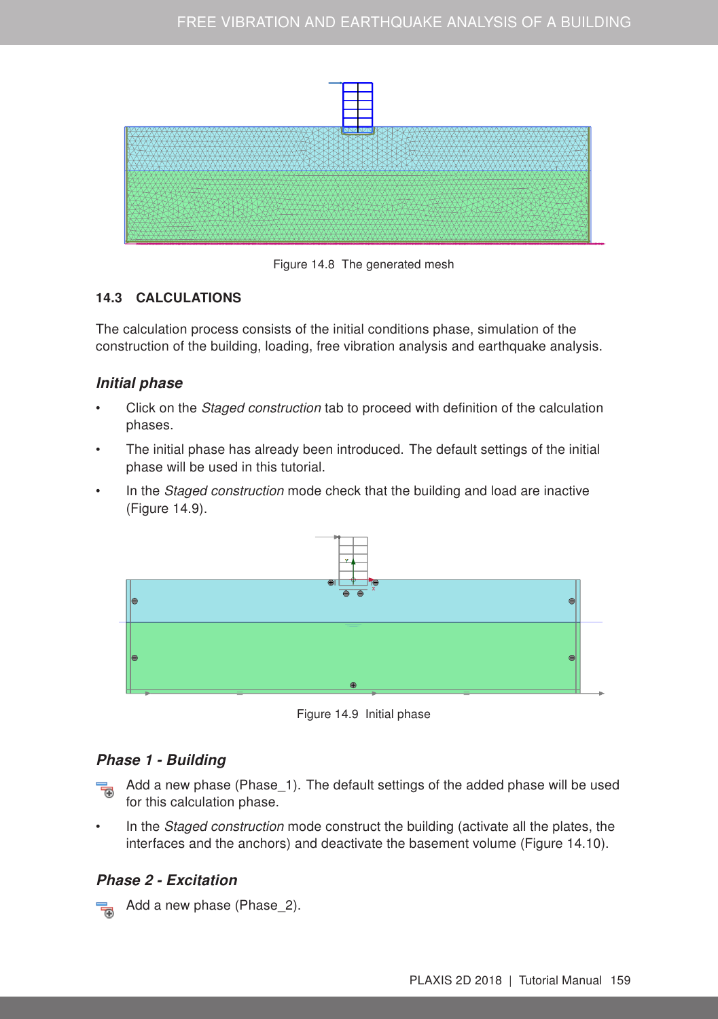![](_page_7_Figure_1.jpeg)

<span id="page-7-0"></span>Figure 14.8 The generated mesh

## 14.3 CALCULATIONS

The calculation process consists of the initial conditions phase, simulation of the construction of the building, loading, free vibration analysis and earthquake analysis.

# Initial phase

- Click on the Staged construction tab to proceed with definition of the calculation phases.
- The initial phase has already been introduced. The default settings of the initial phase will be used in this tutorial.
- In the *Staged construction* mode check that the building and load are inactive (Figure [14.9\)](#page-7-1).

![](_page_7_Figure_9.jpeg)

<span id="page-7-1"></span>Figure 14.9 Initial phase

## Phase 1 - Building

- $\frac{1}{2}$  Add a new phase (Phase\_1). The default settings of the added phase will be used for this calculation phase.
- In the *Staged construction* mode construct the building (activate all the plates, the interfaces and the anchors) and deactivate the basement volume (Figure [14.10\)](#page-8-0).

# Phase 2 - Excitation

Add a new phase (Phase\_2).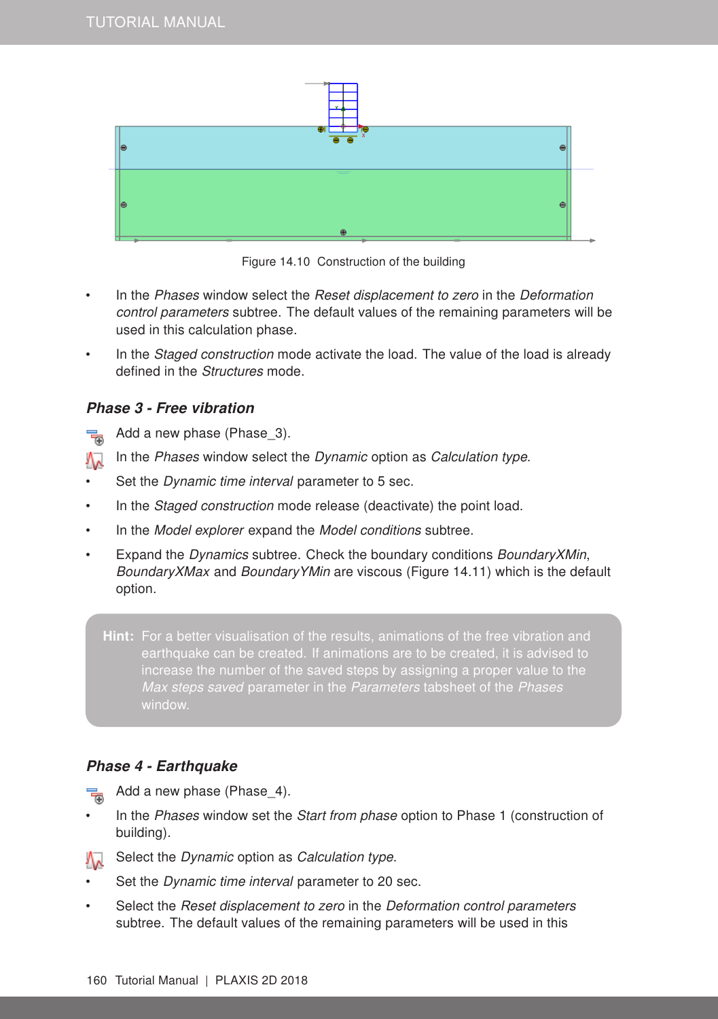![](_page_8_Figure_1.jpeg)

<span id="page-8-0"></span>Figure 14.10 Construction of the building

- In the Phases window select the Reset displacement to zero in the Deformation control parameters subtree. The default values of the remaining parameters will be used in this calculation phase.
- In the *Staged construction* mode activate the load. The value of the load is already defined in the Structures mode.

### Phase 3 - Free vibration

- Add a new phase (Phase 3). 帚
- In the Phases window select the Dynamic option as Calculation type. ∧∧
- Set the *Dynamic time interval* parameter to 5 sec.
- In the *Staged construction* mode release (deactivate) the point load.
- In the Model explorer expand the Model conditions subtree.
- Expand the Dynamics subtree. Check the boundary conditions BoundaryXMin, BoundaryXMax and BoundaryYMin are viscous (Figure [14.11\)](#page-9-0) which is the default option.

Hint: For a better visualisation of the results, animations of the free vibration and earthquake can be created. If animations are to be created, it is advised to window.

#### Phase 4 - Earthquake

70 Add a new phase (Phase 4).

- In the Phases window set the Start from phase option to Phase 1 (construction of building).
- Select the Dynamic option as Calculation type.
- Set the Dynamic time interval parameter to 20 sec.
- Select the Reset displacement to zero in the Deformation control parameters subtree. The default values of the remaining parameters will be used in this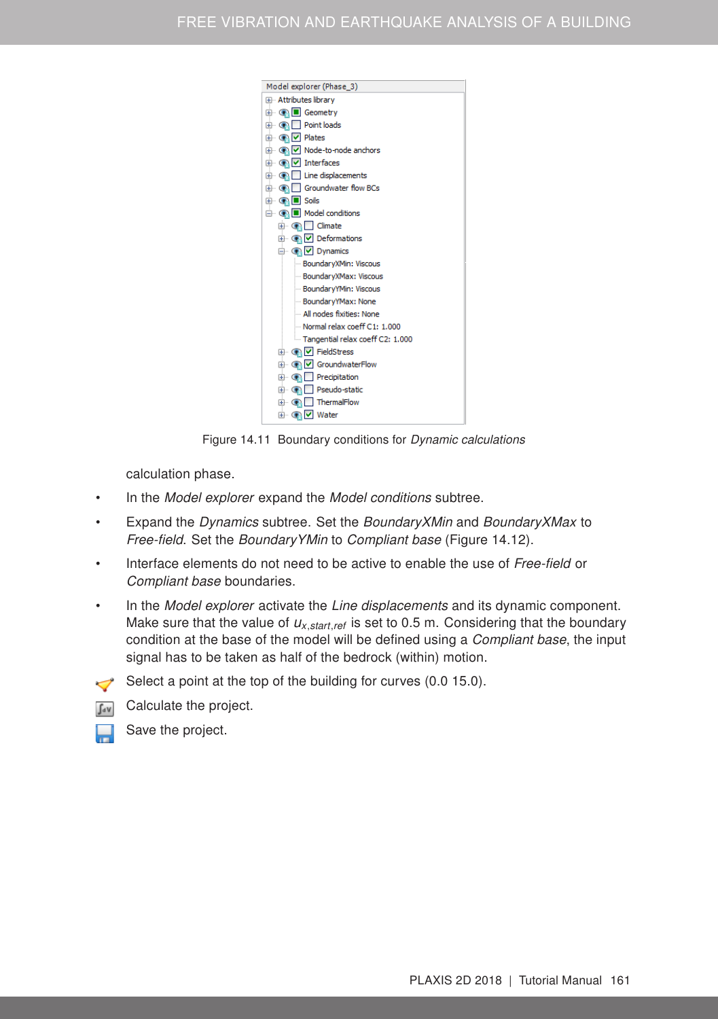![](_page_9_Figure_1.jpeg)

<span id="page-9-0"></span>Figure 14.11 Boundary conditions for Dynamic calculations

calculation phase.

- In the Model explorer expand the Model conditions subtree.
- Expand the Dynamics subtree. Set the BoundaryXMin and BoundaryXMax to Free-field. Set the BoundaryYMin to Compliant base (Figure [14.12\)](#page-10-0).
- Interface elements do not need to be active to enable the use of Free-field or Compliant base boundaries.
- In the *Model explorer* activate the *Line displacements* and its dynamic component. Make sure that the value of *ux*,*start*,*ref* is set to 0.5 m. Considering that the boundary condition at the base of the model will be defined using a Compliant base, the input signal has to be taken as half of the bedrock (within) motion.
- Select a point at the top of the building for curves  $(0.0 15.0)$ .
- **T<sub>ry</sub>** Calculate the project.

![](_page_9_Picture_10.jpeg)

Save the project.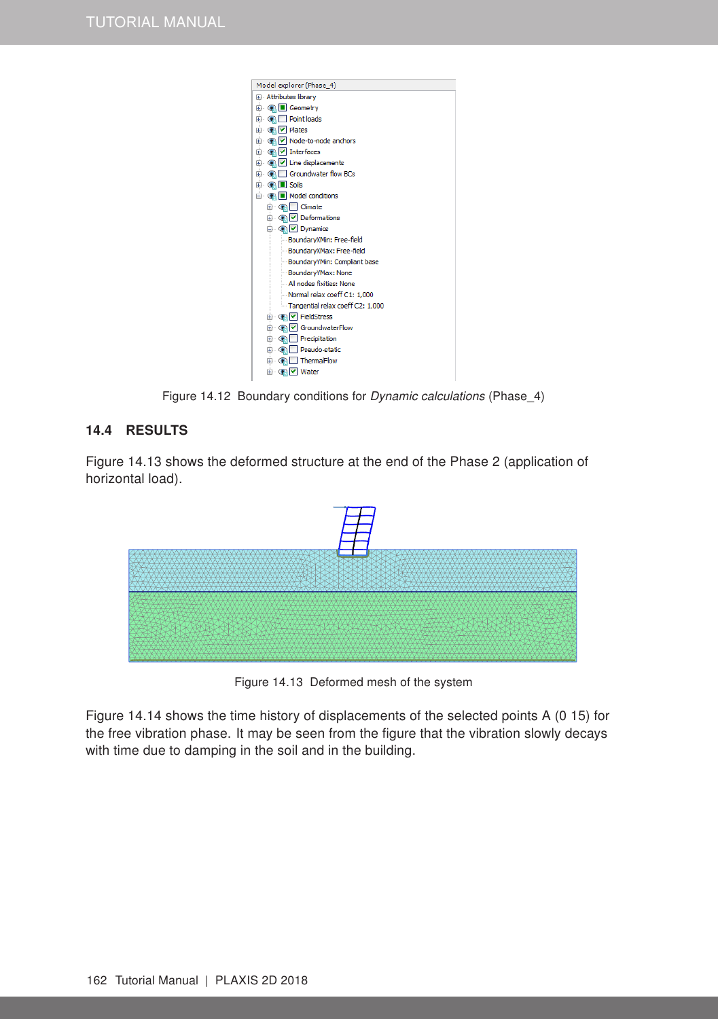![](_page_10_Picture_1.jpeg)

Figure 14.12 Boundary conditions for Dynamic calculations (Phase\_4)

#### <span id="page-10-0"></span>14.4 RESULTS

Figure [14.13](#page-10-1) shows the deformed structure at the end of the Phase 2 (application of horizontal load).

![](_page_10_Figure_5.jpeg)

<span id="page-10-1"></span>Figure 14.13 Deformed mesh of the system

Figure [14.14](#page-11-0) shows the time history of displacements of the selected points A (0 15) for the free vibration phase. It may be seen from the figure that the vibration slowly decays with time due to damping in the soil and in the building.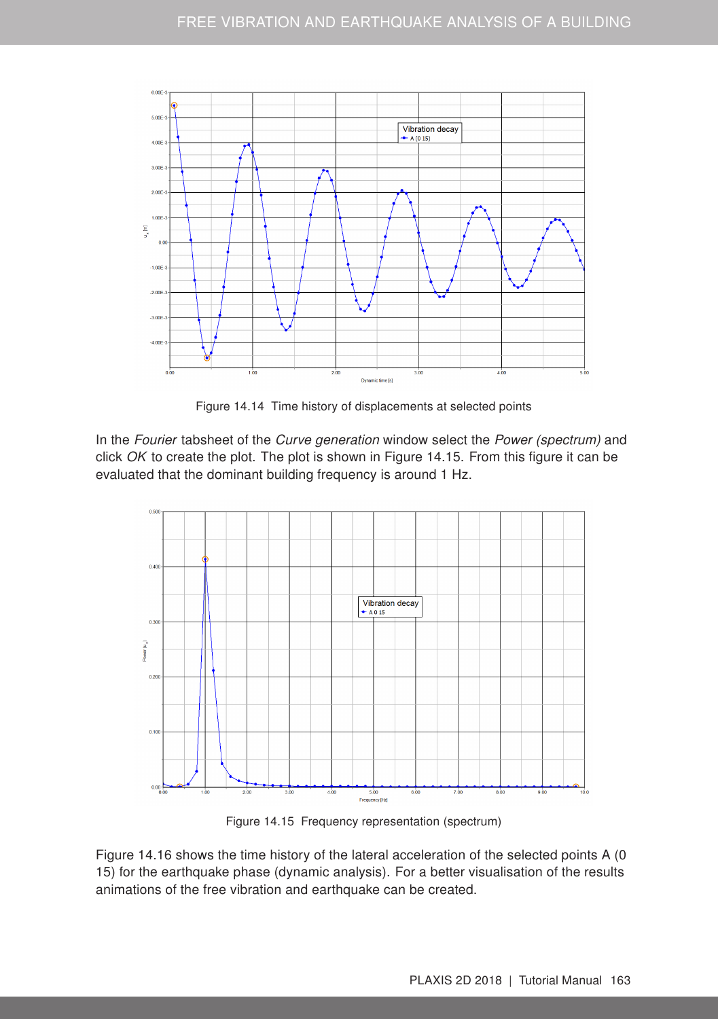![](_page_11_Figure_1.jpeg)

<span id="page-11-0"></span>Figure 14.14 Time history of displacements at selected points

In the Fourier tabsheet of the Curve generation window select the Power (spectrum) and click  $OK$  to create the plot. The plot is shown in Figure [14.15.](#page-11-1) From this figure it can be evaluated that the dominant building frequency is around 1 Hz.

![](_page_11_Figure_4.jpeg)

<span id="page-11-1"></span>Figure 14.15 Frequency representation (spectrum)

Figure [14.16](#page-12-0) shows the time history of the lateral acceleration of the selected points A (0 15) for the earthquake phase (dynamic analysis). For a better visualisation of the results animations of the free vibration and earthquake can be created.